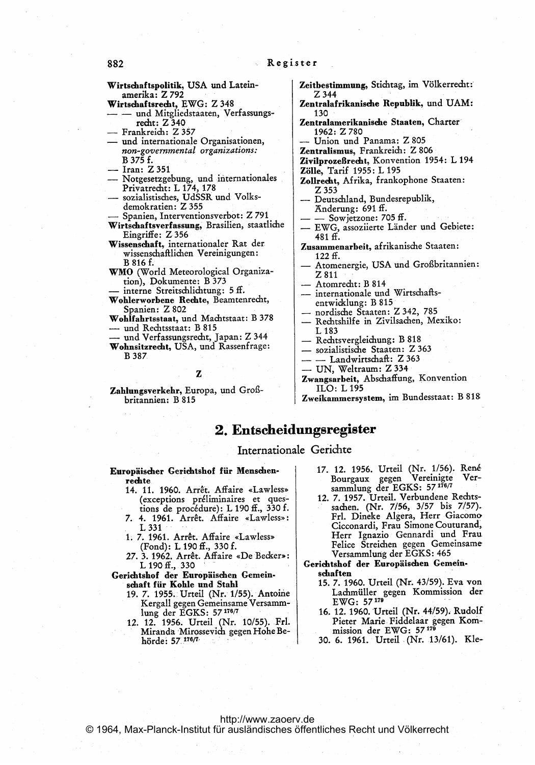Wirtschaftspolitik, USA und Lateinamerika: Z 792

- Wirtschaftsrecht, EWG: Z 348
- und Mitgliedstaaten, Verfassungsrecht: Z 340
- Frankreich: Z 357
- und internationale Organisationen, non-governmental organizations: B 375 f.
- Iran: Z 351
- Notgesetzgebung, und internationales Privatrecht: L 174, 178
- sozialistisches, UdSSR und Volksdemokratien: Z 355
- Spanien, Interventionsverbot: Z 791
- Wirtschaftsverfassung, Brasilien, staatliche Eingriffe: Z 356
- Wissenschaft, internationaler Rat der wissenschaftlichen Vereinigungen: B 816 f.
- WMO (World Meteorological Organization), Dokumente: B 373
- interne Streitschlichtung: 5 ff.
- Wohlerworbene Rechte, Beamtenrecht, Spanien: Z 802
- Wohlfahrtsstaat, und Machtstaat: B 378 - und Rechtsstaat: B 815
- und Verfassungsrecht, Japan: Z 344 Wohnsitzrecht, USA, und Rassenfrage: **B** 387

#### Z

Zahlungsverkehr, Europa, und Großbritannien: B 815

- Zeitbestimmung, Stichtag, im Völkerrecht:  $7.344$
- Zentralafrikanische Republik, und UAM:  $130$
- Zentralamerikanische Staaten, Charter 1962: Z 780
- Union und Panama: Z 805
- Zentralismus, Frankreich: Z 806
- Zivilprozeßrecht, Konvention 1954: L 194
- Zölle, Tarif 1955: L 195
- Zollrecht, Afrika, frankophone Staaten: Z 353
- Deutschland, Bundesrepublik, Anderung: 691 ff.
- Sowjetzone: 705 ff.
- EWG, assoziierte Länder und Gebiete:  $481 f.$
- Zusammenarbeit, afrikanische Staaten:  $122ff.$
- Atomenergie, USA und Großbritannien: Z 811
- Atomrecht: B 814
- internationale und Wirtschaftsentwicklung: B 815
- nordische Staaten: Z 342, 785
- Rechtshilfe in Zivilsachen, Mexiko: L 183
- Rechtsvergleichung: B 818
- sozialistische Staaten: Z 363
- Landwirtschaft: Z 363
- UN, Weltraum: Z 334
- Zwangsarbeit, Abschaffung, Konvention ILO: L 195

Zweikammersystem, im Bundesstaat: B 818

# 2. Entscheidungsregister

## Internationale Gerichte

- Europäischer Gerichtshof für Menschenrechte
	- 14. 11. 1960. Arrêt. Affaire «Lawless» (exceptions préliminaires et questions de proc6durd): L 190 ff., 330 f.
	- 7. 4. 1961. Arrêt. Affaire «Lawless»: L 331
	- 1. 7. 1961. Arrêt. Affaire «Lawless» (Fond): L <sup>190</sup> ff., 330 f.
	- 27. 3. 1962. Arrêt. Affaire «De Becker»<br>L 190 ff., 330
- Gerichtshof der Europäischen Gemeinschaft für Kohle und Stahl
	- 19. T. 1955. Urteil (Nr. 1/55). Antoine Kergall gegen Gemeinsame Versammlung der EGKS: 57176/7
	- 12. 12. 1956. Urteil (Nr. 10/55). Frl. Miranda Mirossevich gegen Hohe Behörde: 57.176/7.-
- 17. 12. 1956. Urteil (Nr. 1/56). René<br>Bourgaux gegen Vereinigte Ver-Bourgaux gegen Vereinigte<br>sammlung der EGKS: 57 176/7
- 12. 7. 1957. Urteil. Verbundene Rechtssachen. (Nr. 7/56, 3/57 bis 7/57). Frl. Dineke Algera, Herr Giacomo Cicconardi, Frau Simone Couturand, Herr Ignazio Gennardi und Frau, Felice Streichen gegen Gemeinsame Versammlung der EGKS: <sup>465</sup>
- Gerichtshof der Europäischen Gemein. schaften
	- 15. 7. 1960. Urteil (Nr. 43/59). Eva von Lachmüller gegen Kommission der EWG: <sup>57179</sup>
	- 16. 12. 1960. Urteil (Nr. 44/59). Rudolf Pieter Marie Fiddelaar gegen Kom-<br>mission der EWG: 57<sup>179</sup>
	- 30. 6. 1961. Urteil .(Nr. 13/61). Kle-

### 882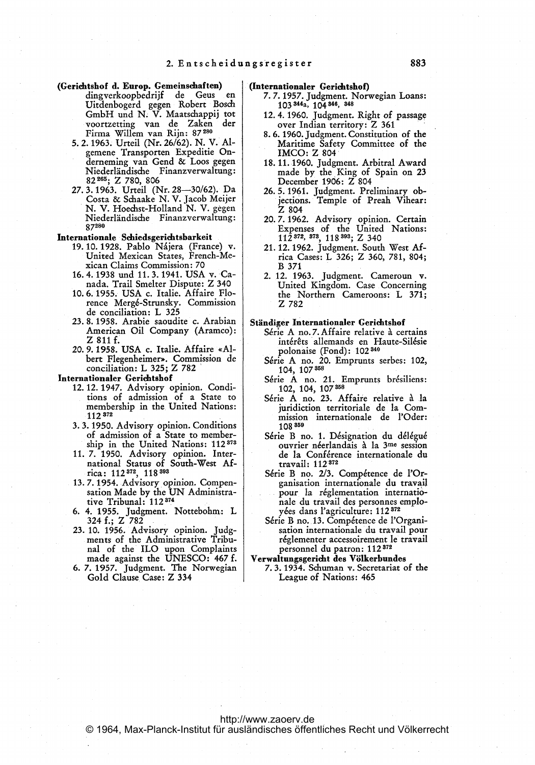- (Gerichtshof d. Europ. Gemeinschaften)<br>dingverkoopbedrijf de Geus dingverkoopbedrijf de Geus en Uitdenbogerd gegen Robert Bosch GmbH und N. V. Maatschappij tot voortzetting van de Zaken der Firma Willem van Rijn: 87 <sup>280</sup>
	- 5.2.1963. Urteil (Nr. 26/62). N. V. Algemene Transporten Expeditie Ondernerning van Gend & Loos gegen Niederlindische Finanzverwaltung: 82 <sup>265</sup> ; Z 786, 806
	- 27.3.1963. Urteil (Nr. 28-30/62). Da Costa & Sdiaake N. V. Jacob Meijer N. V. Hoechst-Holland N. V. gegen Niederländische Finanzverwaltung: 87280

#### Internationale Schiedsgerichtsbarkeit

- 19-10-1928. Pablo Najera (France) v. United Mexican States, French-Mexican Claims Commission: 70
- 16.4.1938 und 11. 3.1941. USA v. Canada. Trail Smelter Dispute: Z <sup>340</sup>
- 10. 6. 1955. USA c. Italie. Affaire Florence Merg6-Strunsky. Commission de conciliation: L 325
- 23. 8. 1958. Arabie saoudite c. Arabian American Oil Company (Aramco): <sup>Z</sup> <sup>811</sup> f. 20.9.1958. USA c. Italie. Affaire <<Al-
- bert Flegenheimer». Commission de conciliation: L 325; Z 782 '

Internationaler Gerichtshof

- 12.12.1947. Advisory opinion. Condi-tions of admission of a State to membership in the United Nations: 112372
- 3. 3. 1950. Advisory opinion. Conditions of admission of a State to membership in the United Nations: 112373
- 11. 7. 1950. Advisory opinion. Inter-national Status of South-West Africa: 112 372, 118393
- 13.7.1954. Advisory opinion. Compensation Made by the UN Administrative Tribunal: 112 <sup>374</sup>
- 6. 4. 1955. judgment. Nottebohm.: L 324 f.; Z 782
- 23. 10. 1956. Advisory opinion. judg- ments of the Administrative Tribunal of the ILO upon Complaints made against the UNESCO: <sup>467</sup> f.
- 6. 7. 1957. judgment. The Norwegian Gold Clause Case: <sup>Z</sup> <sup>334</sup>

#### (Internationaler Gerichtshof)

- 7.7.1957. judgment. Norwegian Loans: 103 344a, 104 346, <sup>348</sup>
- 12. 4. 1960. judgment. Right of passage over Indian territory: Z <sup>361</sup>
- 8. 6. 1960. judgment. Constitution of the Maritime Safety Committee of the IMCO: Z 804
- 18. 11. 1960. judgment. Arbitral Award made by the King of Spain on 23 December 1906: Z 804
- 26.5.1961. judgment. Preliminary objections. Temple of Preah Vihear:<br>Z 804
- 20.7.1962. Advisory opinion. Certain Expenses of the United Nations: 112 372, 373, 118 393; Z 340
- 21.12.1962. judgment. South West Africa Cases: L 326; Z 360, 781, 804; B 371
- 2. 12. 1963. judgment. Cameroun v. United Kingdom. Case Concerning the Northern Cameroons: L 371; Z 782

#### Stindiger Internationaler Gerichtshof

- Série A no.7. Affaire relative à certains intérêts allemands en Haute-Silésie polonaise (Fond): 102 340
- Série A no. 20. Emprunts serbes: 102, 104, 107358
- Série A no. 21. Emprunts brésiliens: 102, 104, 107358
- Série A no. 23. Affaire relative à la juridiction territoriale de la Commission internationale de I'Oder: 108359
- Série B no. 1. Désignation du délégué ouvrier néerlandais à la 3me session de la Conférence internationale du travail: 112 <sup>372</sup>
- Série B no. 2/3. Compétence de l'Organisation internationale du travail pour la réglementation internationale du travail des personnes employ6es dans I'agriculture: 112 <sup>372</sup>
- S6rie <sup>B</sup> no: 13. Comp6tence de l'Organi- sation internationale du travail pour réglementer accessoirement le travail personnel du patron: 112 <sup>372</sup>
- Verwaltungsgericht des V61kerbundes
- 7. 3. 1934. Schuman v. Secretariat of the League of Nations: 465